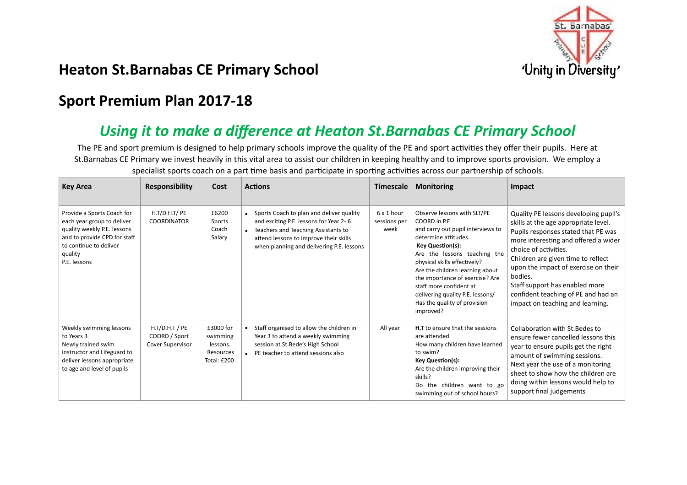

## **Heaton St.Barnabas CE Primary School** *And Series and Series CONDI**Milly in Diversity*

## **Sport Premium Plan 2017-18**

## Using it to make a difference at Heaton St.Barnabas CE Primary School

The PE and sport premium is designed to help primary schools improve the quality of the PE and sport activities they offer their pupils. Here at St.Barnabas CE Primary we invest heavily in this vital area to assist our children in keeping healthy and to improve sports provision. We employ a specialist sports coach on a part time basis and participate in sporting activities across our partnership of schools.

| <b>Key Area</b>                                                                                                                                                              | <b>Responsibility</b>                                        | Cost                                                          | <b>Actions</b>                                                                                                                                                                                                   | Timescale                          | <b>Monitoring</b>                                                                                                                                                                                                                                                                                                                                                                      | Impact                                                                                                                                                                                                                                                                                                                                                                                      |
|------------------------------------------------------------------------------------------------------------------------------------------------------------------------------|--------------------------------------------------------------|---------------------------------------------------------------|------------------------------------------------------------------------------------------------------------------------------------------------------------------------------------------------------------------|------------------------------------|----------------------------------------------------------------------------------------------------------------------------------------------------------------------------------------------------------------------------------------------------------------------------------------------------------------------------------------------------------------------------------------|---------------------------------------------------------------------------------------------------------------------------------------------------------------------------------------------------------------------------------------------------------------------------------------------------------------------------------------------------------------------------------------------|
| Provide a Sports Coach for<br>each year group to deliver<br>quality weekly P.E. lessons<br>and to provide CPD for staff<br>to continue to deliver<br>quality<br>P.E. lessons | H.T/D.H.T/PE<br><b>COORDINATOR</b>                           | £6200<br>Sports<br>Coach<br>Salary                            | Sports Coach to plan and deliver quality<br>and exciting P.E. lessons for Year 2-6<br>Teachers and Teaching Assistants to<br>attend lessons to improve their skills<br>when planning and delivering P.E. lessons | 6 x 1 hour<br>sessions per<br>week | Observe lessons with SLT/PE<br>COORD in P.E.<br>and carry out pupil interviews to<br>determine attitudes.<br><b>Key Question(s):</b><br>Are the lessons teaching the<br>physical skills effectively?<br>Are the children learning about<br>the importance of exercise? Are<br>staff more confident at<br>delivering quality P.E. lessons/<br>Has the quality of provision<br>improved? | Quality PE lessons developing pupil's<br>skills at the age appropriate level.<br>Pupils responses stated that PE was<br>more interesting and offered a wider<br>choice of activities.<br>Children are given time to reflect<br>upon the impact of exercise on their<br>bodies.<br>Staff support has enabled more<br>confident teaching of PE and had an<br>impact on teaching and learning. |
| Weekly swimming lessons<br>to Years 3<br>Newly trained swim<br>instructor and Lifeguard to<br>deliver lessons appropriate<br>to age and level of pupils                      | $H.T/D.H.T$ / PE<br>COORD / Sport<br><b>Cover Supervisor</b> | £3000 for<br>swimming<br>lessons.<br>Resources<br>Total: £200 | Staff organised to allow the children in<br>Year 3 to attend a weekly swimming<br>session at St.Bede's High School<br>• PE teacher to attend sessions also                                                       | All year                           | <b>H.T</b> to ensure that the sessions<br>are attended<br>How many children have learned<br>to swim?<br>Key Question(s):<br>Are the children improving their<br>skills?<br>Do the children want to go<br>swimming out of school hours?                                                                                                                                                 | Collaboration with St. Bedes to<br>ensure fewer cancelled lessons this<br>year to ensure pupils get the right<br>amount of swimming sessions.<br>Next year the use of a monitoring<br>sheet to show how the children are<br>doing within lessons would help to<br>support final judgements                                                                                                  |